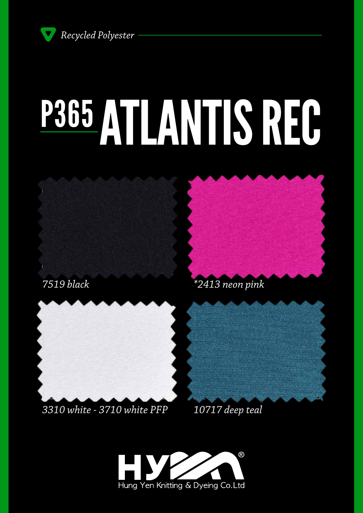*Recycled Polyester*

# P365 ATLANTIS REC







#### *3310 white - 3710 white PFP*



*10717 deep teal*